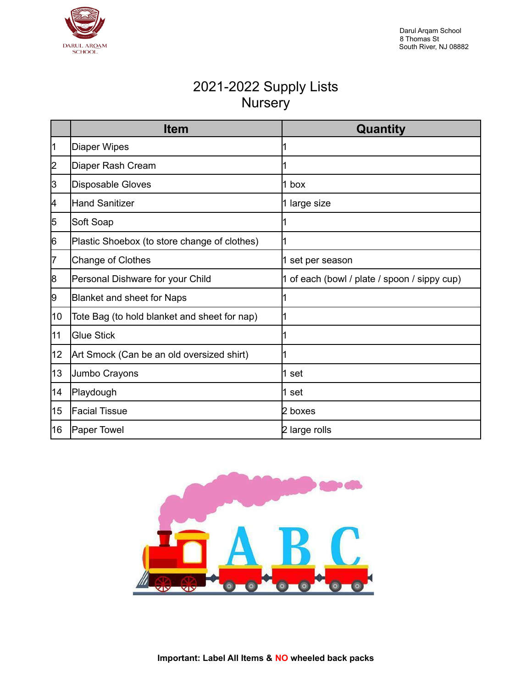

#### 2021-2022 Supply Lists **Nursery**

|    | <b>Item</b>                                  | Quantity                                     |
|----|----------------------------------------------|----------------------------------------------|
| 11 | Diaper Wipes                                 |                                              |
| 2  | Diaper Rash Cream                            |                                              |
| 3  | Disposable Gloves                            | $1$ box                                      |
| 4  | Hand Sanitizer                               | 1 large size                                 |
| 15 | Soft Soap                                    |                                              |
| 6  | Plastic Shoebox (to store change of clothes) |                                              |
| 7  | Change of Clothes                            | 1 set per season                             |
| 8  | Personal Dishware for your Child             | 1 of each (bowl / plate / spoon / sippy cup) |
| 9  | Blanket and sheet for Naps                   |                                              |
| 10 | Tote Bag (to hold blanket and sheet for nap) |                                              |
| 11 | <b>Glue Stick</b>                            |                                              |
| 12 | Art Smock (Can be an old oversized shirt)    |                                              |
| 13 | Jumbo Crayons                                | l1 set                                       |
| 14 | Playdough                                    | 1 set                                        |
| 15 | <b>Facial Tissue</b>                         | 2 boxes                                      |
| 16 | Paper Towel                                  | 2 large rolls                                |

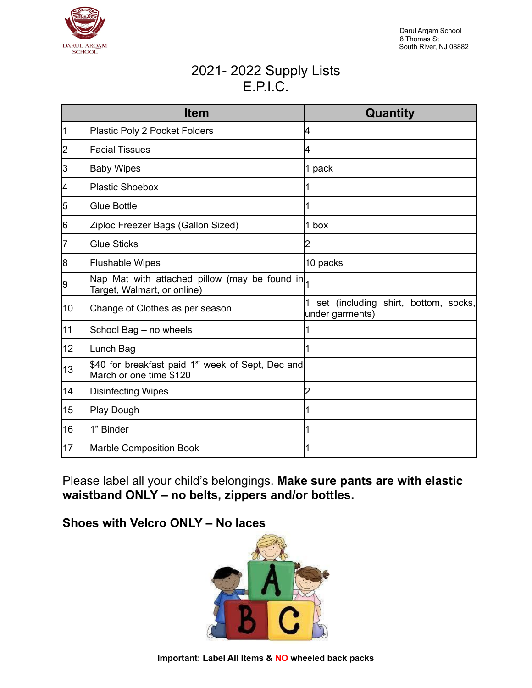

## 2021- 2022 Supply Lists E.P.I.C.

|    | <b>Item</b>                                                                              | Quantity                                                |
|----|------------------------------------------------------------------------------------------|---------------------------------------------------------|
| 11 | Plastic Poly 2 Pocket Folders                                                            | 4                                                       |
| 2  | <b>Facial Tissues</b>                                                                    | 4                                                       |
| 3  | <b>Baby Wipes</b>                                                                        | 1 pack                                                  |
| 14 | Plastic Shoebox                                                                          |                                                         |
| 5  | <b>Glue Bottle</b>                                                                       |                                                         |
| 6  | Ziploc Freezer Bags (Gallon Sized)                                                       | 1 box                                                   |
| 17 | <b>Glue Sticks</b>                                                                       | 2                                                       |
| 8  | <b>Flushable Wipes</b>                                                                   | 10 packs                                                |
| 9  | Nap Mat with attached pillow (may be found in <br>Target, Walmart, or online)            |                                                         |
| 10 | Change of Clothes as per season                                                          | set (including shirt, bottom, socks,<br>under garments) |
| 11 | School Bag - no wheels                                                                   |                                                         |
| 12 | Lunch Bag                                                                                |                                                         |
| 13 | \$40 for breakfast paid 1 <sup>st</sup> week of Sept, Dec and<br>March or one time \$120 |                                                         |
| 14 | Disinfecting Wipes                                                                       | 2                                                       |
| 15 | Play Dough                                                                               |                                                         |
| 16 | 1" Binder                                                                                |                                                         |
| 17 | <b>Marble Composition Book</b>                                                           |                                                         |

Please label all your child's belongings. **Make sure pants are with elastic waistband ONLY – no belts, zippers and/or bottles.**

#### **Shoes with Velcro ONLY – No laces**

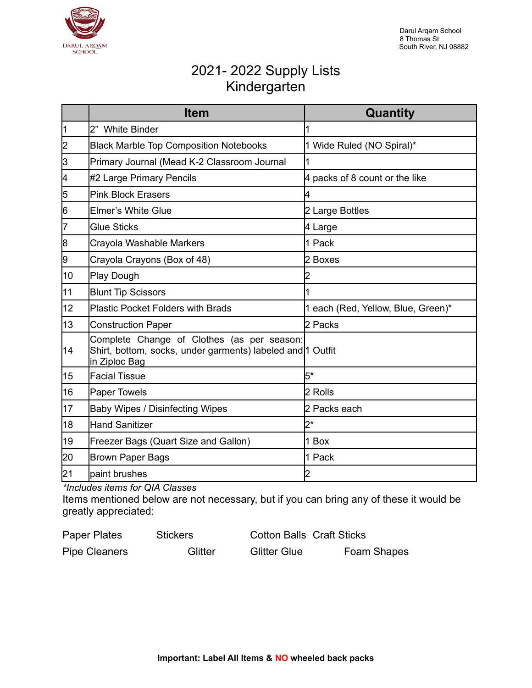

# 2021- 2022 Supply Lists Kindergarten

|    | <b>Item</b>                                                                                                               | Quantity                           |
|----|---------------------------------------------------------------------------------------------------------------------------|------------------------------------|
| ł1 | 2" White Binder                                                                                                           |                                    |
| 2  | <b>Black Marble Top Composition Notebooks</b>                                                                             | 1 Wide Ruled (NO Spiral)*          |
| 3  | Primary Journal (Mead K-2 Classroom Journal                                                                               |                                    |
| 4  | #2 Large Primary Pencils                                                                                                  | 4 packs of 8 count or the like     |
| 5  | <b>Pink Block Erasers</b>                                                                                                 | 4                                  |
| 6  | Elmer's White Glue                                                                                                        | 2 Large Bottles                    |
| 17 | <b>Glue Sticks</b>                                                                                                        | 4 Large                            |
| 8  | Crayola Washable Markers                                                                                                  | 1 Pack                             |
| 9  | Crayola Crayons (Box of 48)                                                                                               | 2 Boxes                            |
| 10 | Play Dough                                                                                                                |                                    |
| 11 | <b>Blunt Tip Scissors</b>                                                                                                 |                                    |
| 12 | <b>Plastic Pocket Folders with Brads</b>                                                                                  | 1 each (Red, Yellow, Blue, Green)* |
| 13 | <b>Construction Paper</b>                                                                                                 | 2 Packs                            |
| 14 | Complete Change of Clothes (as per season:<br>Shirt, bottom, socks, under garments) labeled and 1 Outfit<br>in Ziploc Bag |                                    |
| 15 | <b>Facial Tissue</b>                                                                                                      | $5*$                               |
| 16 | <b>Paper Towels</b>                                                                                                       | 2 Rolls                            |
| 17 | <b>Baby Wipes / Disinfecting Wipes</b>                                                                                    | 2 Packs each                       |
| 18 | Hand Sanitizer                                                                                                            | $2^*$                              |
| 19 | Freezer Bags (Quart Size and Gallon)                                                                                      | 1 Box                              |
| 20 | <b>Brown Paper Bags</b>                                                                                                   | 1 Pack                             |
| 21 | paint brushes                                                                                                             | 2                                  |

*\*Includes items for QIA Classes*

Items mentioned below are not necessary, but if you can bring any of these it would be greatly appreciated:

| Paper Plates         | <b>Stickers</b> | <b>Cotton Balls Craft Sticks</b> |             |
|----------------------|-----------------|----------------------------------|-------------|
| <b>Pipe Cleaners</b> | Glitter         | <b>Glitter Glue</b>              | Foam Shapes |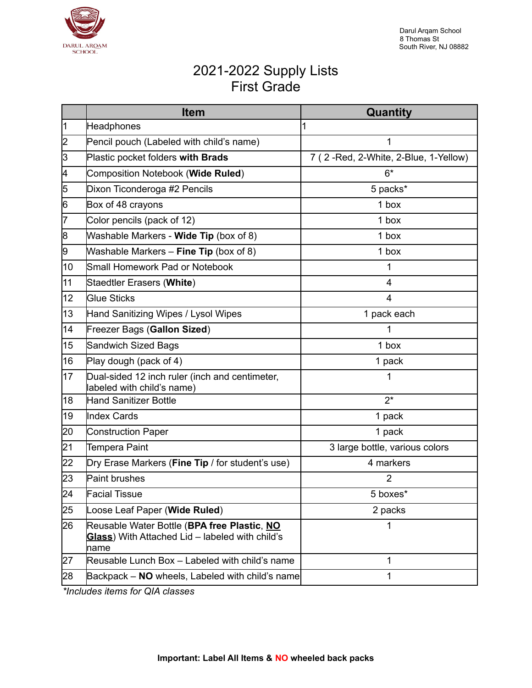

## 2021-2022 Supply Lists First Grade

|    | <b>Item</b>                                                                                            | Quantity                             |
|----|--------------------------------------------------------------------------------------------------------|--------------------------------------|
| ł1 | Headphones                                                                                             | 1                                    |
| 2  | Pencil pouch (Labeled with child's name)                                                               | 1                                    |
| ß  | Plastic pocket folders with Brads                                                                      | 7 (2-Red, 2-White, 2-Blue, 1-Yellow) |
| 4  | Composition Notebook (Wide Ruled)                                                                      | $6*$                                 |
| 5  | Dixon Ticonderoga #2 Pencils                                                                           | 5 packs*                             |
| 6  | Box of 48 crayons                                                                                      | 1 box                                |
| 17 | Color pencils (pack of 12)                                                                             | 1 box                                |
| 8  | Washable Markers - <b>Wide Tip</b> (box of 8)                                                          | 1 box                                |
| 9  | Washable Markers - Fine Tip (box of 8)                                                                 | 1 box                                |
| 10 | Small Homework Pad or Notebook                                                                         | 1                                    |
| 11 | Staedtler Erasers (White)                                                                              | $\overline{4}$                       |
| 12 | <b>Glue Sticks</b>                                                                                     | 4                                    |
| 13 | Hand Sanitizing Wipes / Lysol Wipes                                                                    | 1 pack each                          |
| 14 | Freezer Bags (Gallon Sized)                                                                            |                                      |
| 15 | Sandwich Sized Bags                                                                                    | 1 box                                |
| 16 | Play dough (pack of 4)                                                                                 | 1 pack                               |
| 17 | Dual-sided 12 inch ruler (inch and centimeter,<br>labeled with child's name)                           | 1                                    |
| 18 | Hand Sanitizer Bottle                                                                                  | $2^*$                                |
| 19 | Index Cards                                                                                            | 1 pack                               |
| 20 | Construction Paper                                                                                     | 1 pack                               |
| 21 | <b>Tempera Paint</b>                                                                                   | 3 large bottle, various colors       |
| 22 | Dry Erase Markers (Fine Tip / for student's use)                                                       | 4 markers                            |
| 23 | Paint brushes                                                                                          | $\overline{2}$                       |
| 24 | <b>Facial Tissue</b>                                                                                   | 5 boxes*                             |
| 25 | Loose Leaf Paper (Wide Ruled)                                                                          | 2 packs                              |
| 26 | Reusable Water Bottle (BPA free Plastic, NO<br>Glass) With Attached Lid - labeled with child's<br>name | 1                                    |
| 27 | Reusable Lunch Box - Labeled with child's name                                                         | 1                                    |
| 28 | Backpack - NO wheels, Labeled with child's name                                                        | 1                                    |

*\*Includes items for QIA classes*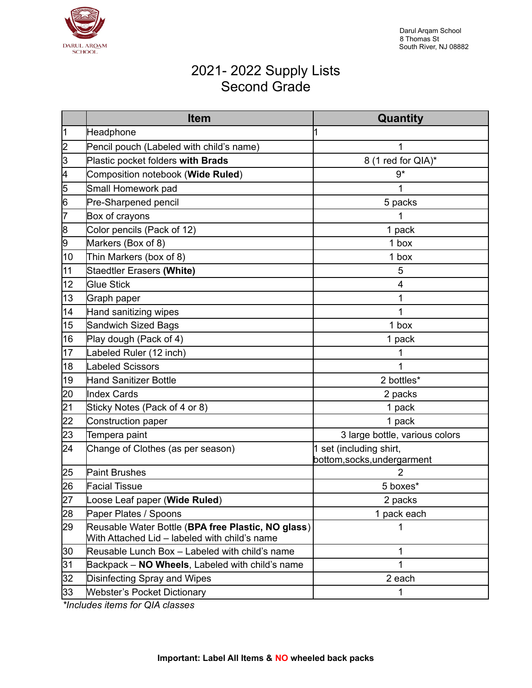

## 2021- 2022 Supply Lists Second Grade

|    | <b>Item</b>                                                                                         | Quantity                       |
|----|-----------------------------------------------------------------------------------------------------|--------------------------------|
| 11 | Headphone                                                                                           |                                |
| 2  | Pencil pouch (Labeled with child's name)                                                            | 1                              |
| 3  | Plastic pocket folders with Brads                                                                   | 8 (1 red for QIA)*             |
| 4  | Composition notebook (Wide Ruled)                                                                   | $9*$                           |
| 5  | Small Homework pad                                                                                  | 1                              |
| 6  | Pre-Sharpened pencil                                                                                | 5 packs                        |
| 17 | Box of crayons                                                                                      | 1                              |
| 8  | Color pencils (Pack of 12)                                                                          | 1 pack                         |
| 9  | Markers (Box of 8)                                                                                  | 1 box                          |
| 10 | Thin Markers (box of 8)                                                                             | 1 box                          |
| 11 | <b>Staedtler Erasers (White)</b>                                                                    | 5                              |
| 12 | <b>Glue Stick</b>                                                                                   | 4                              |
| 13 | Graph paper                                                                                         | 1                              |
| 14 | Hand sanitizing wipes                                                                               | 1                              |
| 15 | Sandwich Sized Bags                                                                                 | 1 box                          |
| 16 | Play dough (Pack of 4)                                                                              | 1 pack                         |
| 17 | Labeled Ruler (12 inch)                                                                             | 1                              |
| 18 | Labeled Scissors                                                                                    | 1                              |
| 19 | Hand Sanitizer Bottle                                                                               | 2 bottles*                     |
| 20 | <b>Index Cards</b>                                                                                  | 2 packs                        |
| 21 | Sticky Notes (Pack of 4 or 8)                                                                       | 1 pack                         |
| 22 | Construction paper                                                                                  | 1 pack                         |
| 23 | Tempera paint                                                                                       | 3 large bottle, various colors |
| 24 | Change of Clothes (as per season)                                                                   | 1 set (including shirt,        |
|    |                                                                                                     | bottom, socks, undergarment    |
| 25 | <b>Paint Brushes</b>                                                                                | $\overline{2}$                 |
| 26 | <b>Facial Tissue</b>                                                                                | 5 boxes*                       |
| 27 | Loose Leaf paper (Wide Ruled)                                                                       | 2 packs                        |
| 28 | Paper Plates / Spoons                                                                               | 1 pack each                    |
| 29 | Reusable Water Bottle (BPA free Plastic, NO glass)<br>With Attached Lid - labeled with child's name | 1                              |
| 30 | Reusable Lunch Box - Labeled with child's name                                                      | 1                              |
| 31 | Backpack - NO Wheels, Labeled with child's name                                                     | 1                              |
| 32 | Disinfecting Spray and Wipes                                                                        | 2 each                         |
| 33 | <b>Webster's Pocket Dictionary</b>                                                                  | $\mathbf{1}$                   |

*\*Includes items for QIA classes*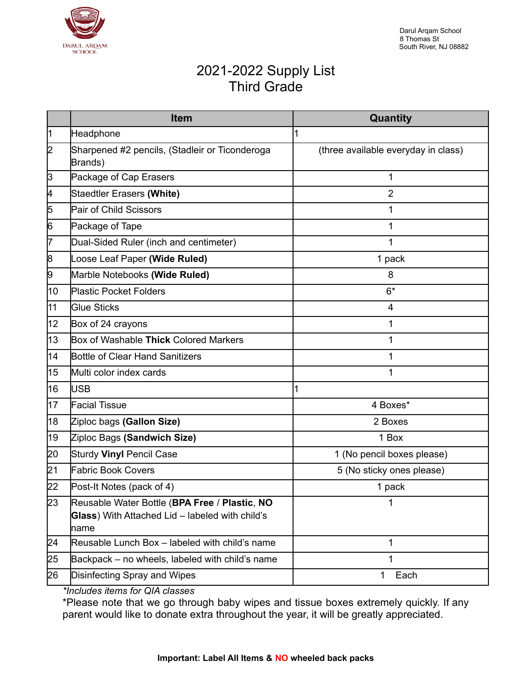

### 2021-2022 Supply List Third Grade

|    | <b>Item</b>                                                                                              | Quantity                            |
|----|----------------------------------------------------------------------------------------------------------|-------------------------------------|
| 1  | Headphone                                                                                                | 1                                   |
| 2  | Sharpened #2 pencils, (Stadleir or Ticonderoga<br>Brands)                                                | (three available everyday in class) |
| 3  | Package of Cap Erasers                                                                                   | $\mathbf{1}$                        |
| 4  | Staedtler Erasers (White)                                                                                | $\overline{2}$                      |
| 5  | Pair of Child Scissors                                                                                   | 1                                   |
| 6  | Package of Tape                                                                                          | 1                                   |
| 7  | Dual-Sided Ruler (inch and centimeter)                                                                   | 1                                   |
| 8  | Loose Leaf Paper (Wide Ruled)                                                                            | 1 pack                              |
| 9  | Marble Notebooks (Wide Ruled)                                                                            | 8                                   |
| 10 | <b>Plastic Pocket Folders</b>                                                                            | $6*$                                |
| 11 | <b>Glue Sticks</b>                                                                                       | 4                                   |
| 12 | Box of 24 crayons                                                                                        | 1                                   |
| 13 | Box of Washable Thick Colored Markers                                                                    | 1                                   |
| 14 | Bottle of Clear Hand Sanitizers                                                                          | 1                                   |
| 15 | Multi color index cards                                                                                  | 1                                   |
| 16 | <b>USB</b>                                                                                               | 1                                   |
| 17 | <b>Facial Tissue</b>                                                                                     | 4 Boxes*                            |
| 18 | Ziploc bags (Gallon Size)                                                                                | 2 Boxes                             |
| 19 | Ziploc Bags (Sandwich Size)                                                                              | 1 Box                               |
| 20 | Sturdy Vinyl Pencil Case                                                                                 | 1 (No pencil boxes please)          |
| 21 | <b>Fabric Book Covers</b>                                                                                | 5 (No sticky ones please)           |
| 22 | Post-It Notes (pack of 4)                                                                                | 1 pack                              |
| 23 | Reusable Water Bottle (BPA Free / Plastic, NO<br>Glass) With Attached Lid - labeled with child's<br>name |                                     |
| 24 | Reusable Lunch Box - labeled with child's name                                                           | 1                                   |
| 25 | Backpack – no wheels, labeled with child's name                                                          | 1                                   |
| 26 | Disinfecting Spray and Wipes                                                                             | 1<br>Each                           |

*\*Includes items for QIA classes*

\*Please note that we go through baby wipes and tissue boxes extremely quickly. If any parent would like to donate extra throughout the year, it will be greatly appreciated.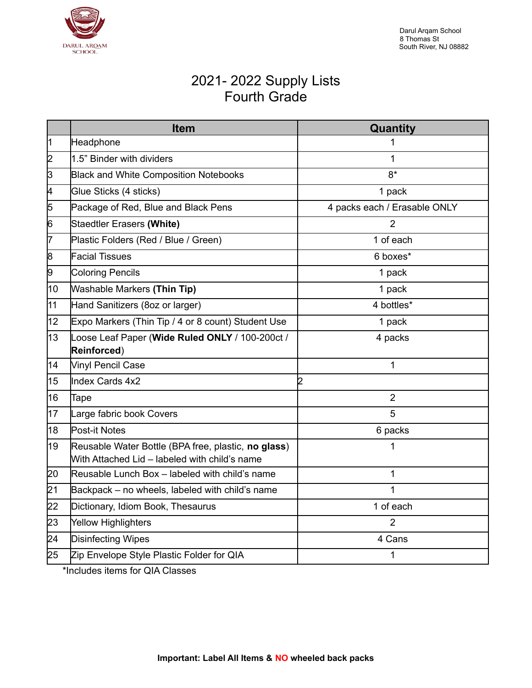

## 2021- 2022 Supply Lists Fourth Grade

|    | <b>Item</b>                                                                                          | Quantity                     |
|----|------------------------------------------------------------------------------------------------------|------------------------------|
| ł1 | Headphone                                                                                            | 1                            |
| 2  | 1.5" Binder with dividers                                                                            | 1                            |
| ß  | <b>Black and White Composition Notebooks</b>                                                         | $8*$                         |
| 4  | Glue Sticks (4 sticks)                                                                               | 1 pack                       |
| 5  | Package of Red, Blue and Black Pens                                                                  | 4 packs each / Erasable ONLY |
| 6  | <b>Staedtler Erasers (White)</b>                                                                     | 2                            |
| 7  | Plastic Folders (Red / Blue / Green)                                                                 | 1 of each                    |
| 8  | <b>Facial Tissues</b>                                                                                | 6 boxes*                     |
| 9  | <b>Coloring Pencils</b>                                                                              | 1 pack                       |
| 10 | <b>Washable Markers (Thin Tip)</b>                                                                   | 1 pack                       |
| 11 | Hand Sanitizers (8oz or larger)                                                                      | 4 bottles*                   |
| 12 | Expo Markers (Thin Tip / 4 or 8 count) Student Use                                                   | 1 pack                       |
| 13 | Loose Leaf Paper (Wide Ruled ONLY / 100-200ct /<br>Reinforced)                                       | 4 packs                      |
| 14 | Vinyl Pencil Case                                                                                    | 1                            |
| 15 | Index Cards 4x2                                                                                      | 2                            |
| 16 | Tape                                                                                                 | $\overline{2}$               |
| 17 | Large fabric book Covers                                                                             | 5                            |
| 18 | Post-it Notes                                                                                        | 6 packs                      |
| 19 | Reusable Water Bottle (BPA free, plastic, no glass)<br>With Attached Lid - labeled with child's name | 1                            |
| 20 | Reusable Lunch Box - labeled with child's name                                                       | 1                            |
| 21 | Backpack – no wheels, labeled with child's name                                                      | 1                            |
| 22 | Dictionary, Idiom Book, Thesaurus                                                                    | 1 of each                    |
| 23 | Yellow Highlighters                                                                                  | 2                            |
| 24 | Disinfecting Wipes                                                                                   | 4 Cans                       |
| 25 | Zip Envelope Style Plastic Folder for QIA                                                            | 1                            |

\*Includes items for QIA Classes